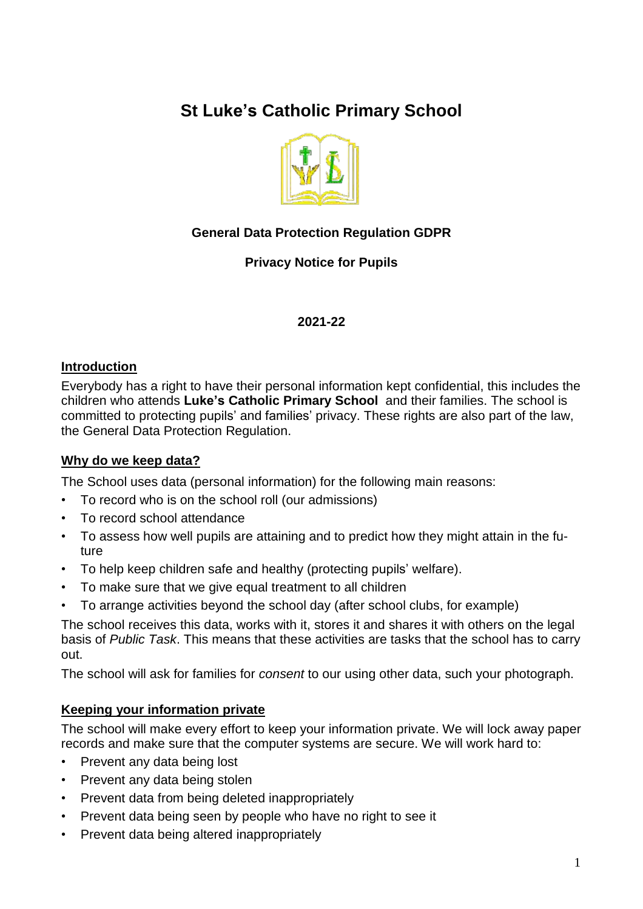# **St Luke's Catholic Primary School**



## **General Data Protection Regulation GDPR**

## **Privacy Notice for Pupils**

#### **2021-22**

#### **Introduction**

Everybody has a right to have their personal information kept confidential, this includes the children who attends **Luke's Catholic Primary School** and their families. The school is committed to protecting pupils' and families' privacy. These rights are also part of the law, the General Data Protection Regulation.

#### **Why do we keep data?**

The School uses data (personal information) for the following main reasons:

- To record who is on the school roll (our admissions)
- To record school attendance
- To assess how well pupils are attaining and to predict how they might attain in the future
- To help keep children safe and healthy (protecting pupils' welfare).
- To make sure that we give equal treatment to all children
- To arrange activities beyond the school day (after school clubs, for example)

The school receives this data, works with it, stores it and shares it with others on the legal basis of *Public Task*. This means that these activities are tasks that the school has to carry out.

The school will ask for families for *consent* to our using other data, such your photograph.

#### **Keeping your information private**

The school will make every effort to keep your information private. We will lock away paper records and make sure that the computer systems are secure. We will work hard to:

- Prevent any data being lost
- Prevent any data being stolen
- Prevent data from being deleted inappropriately
- Prevent data being seen by people who have no right to see it
- Prevent data being altered inappropriately